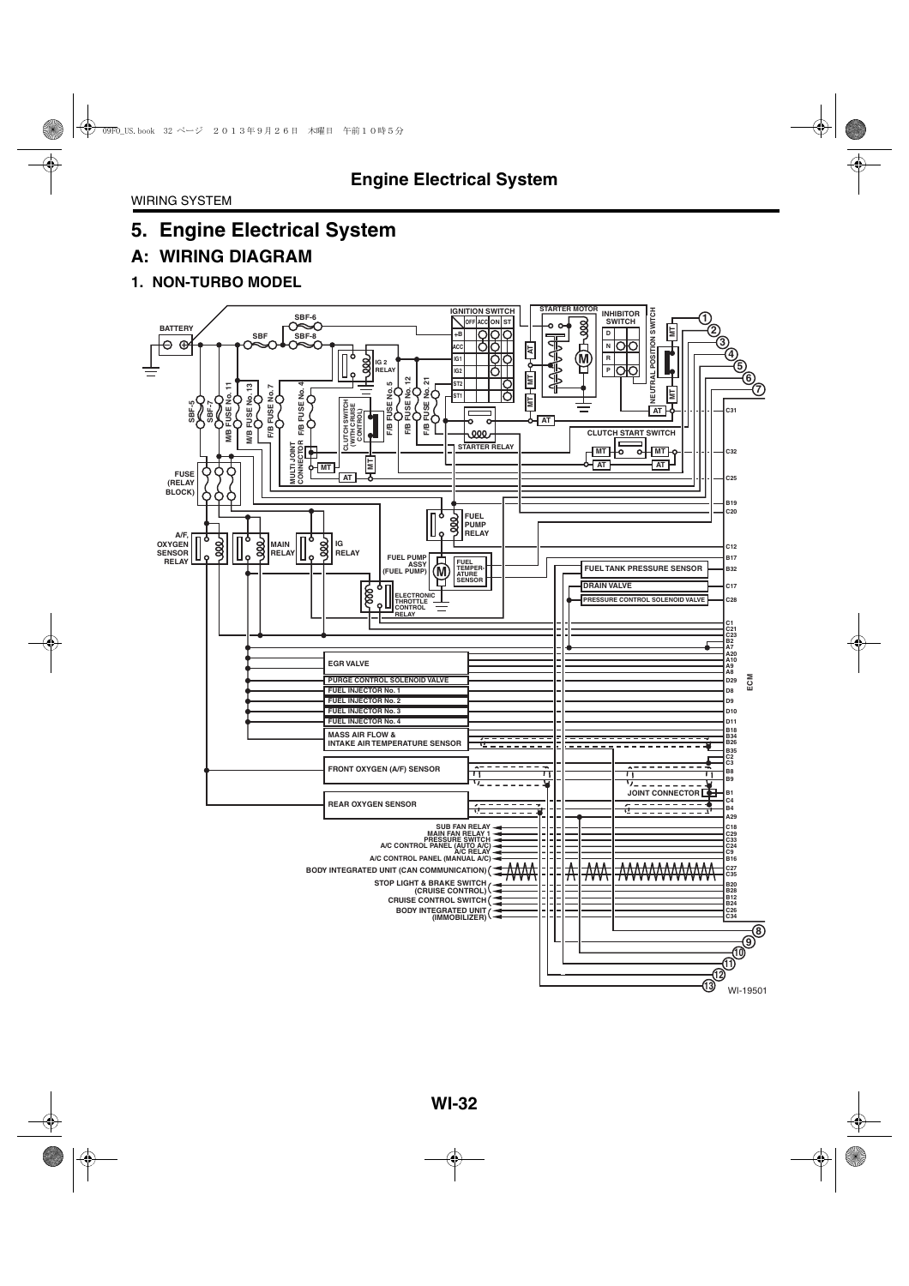## **A: WIRING DIAGRAM**

#### **1. NON-TURBO MODEL**

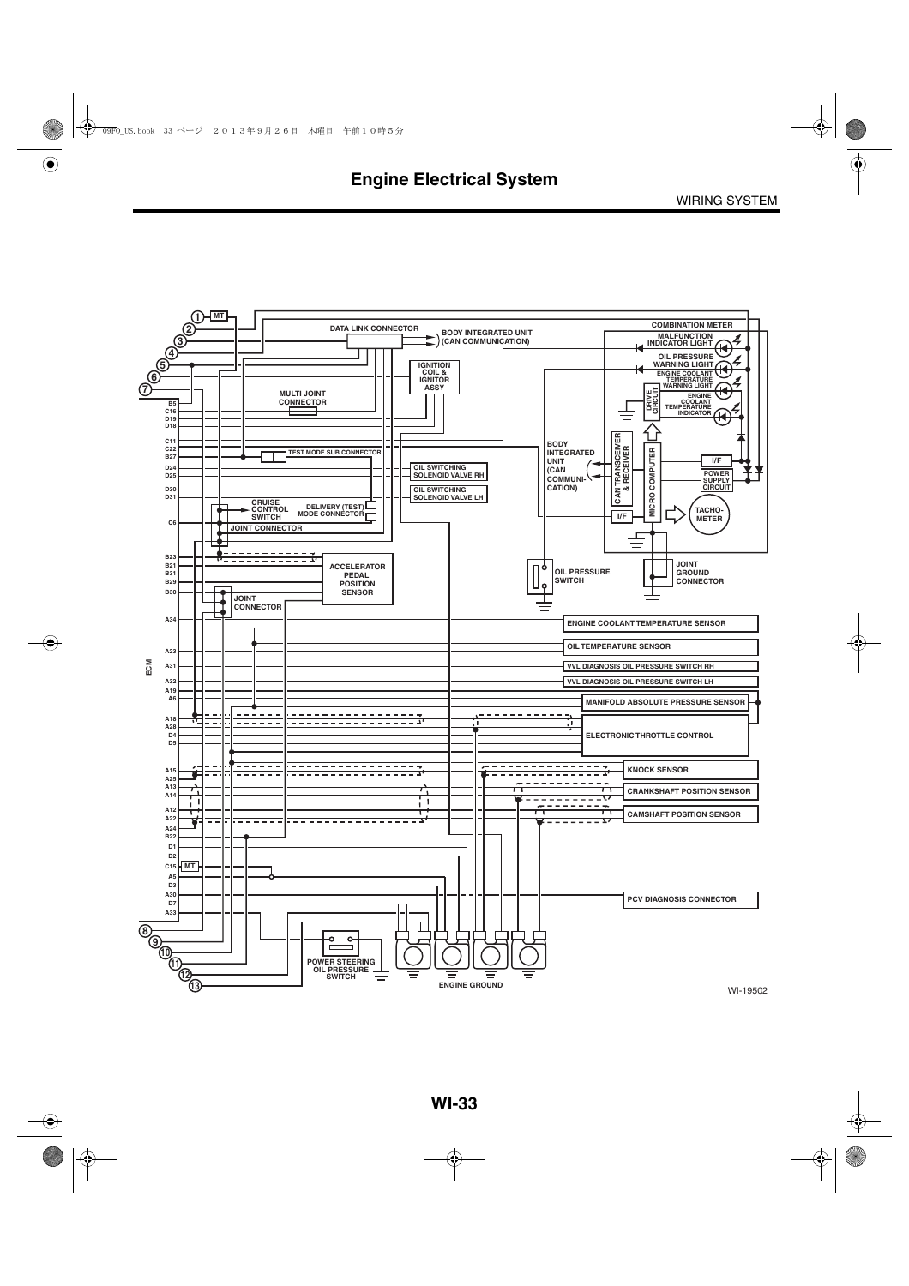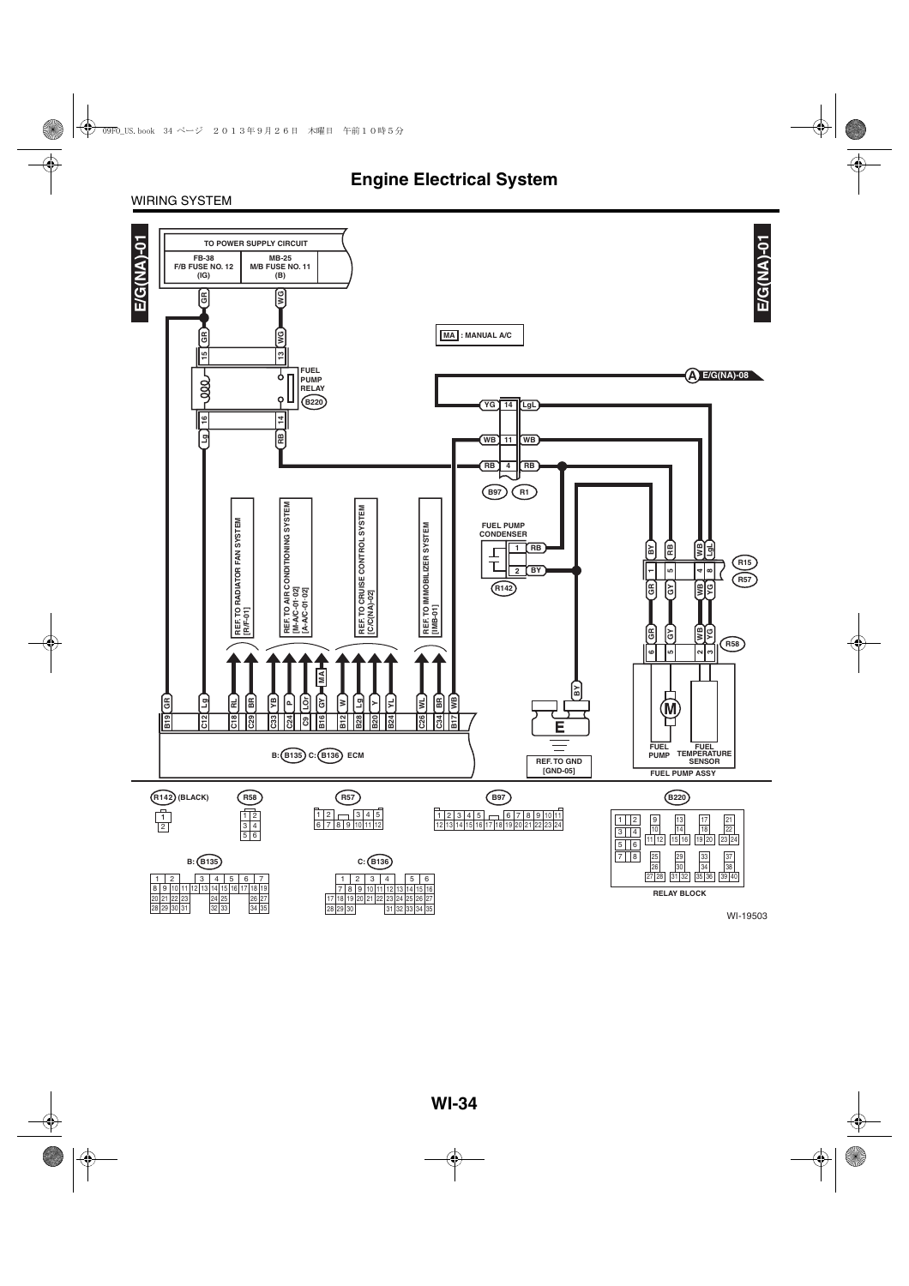#### WIRING SYSTEM

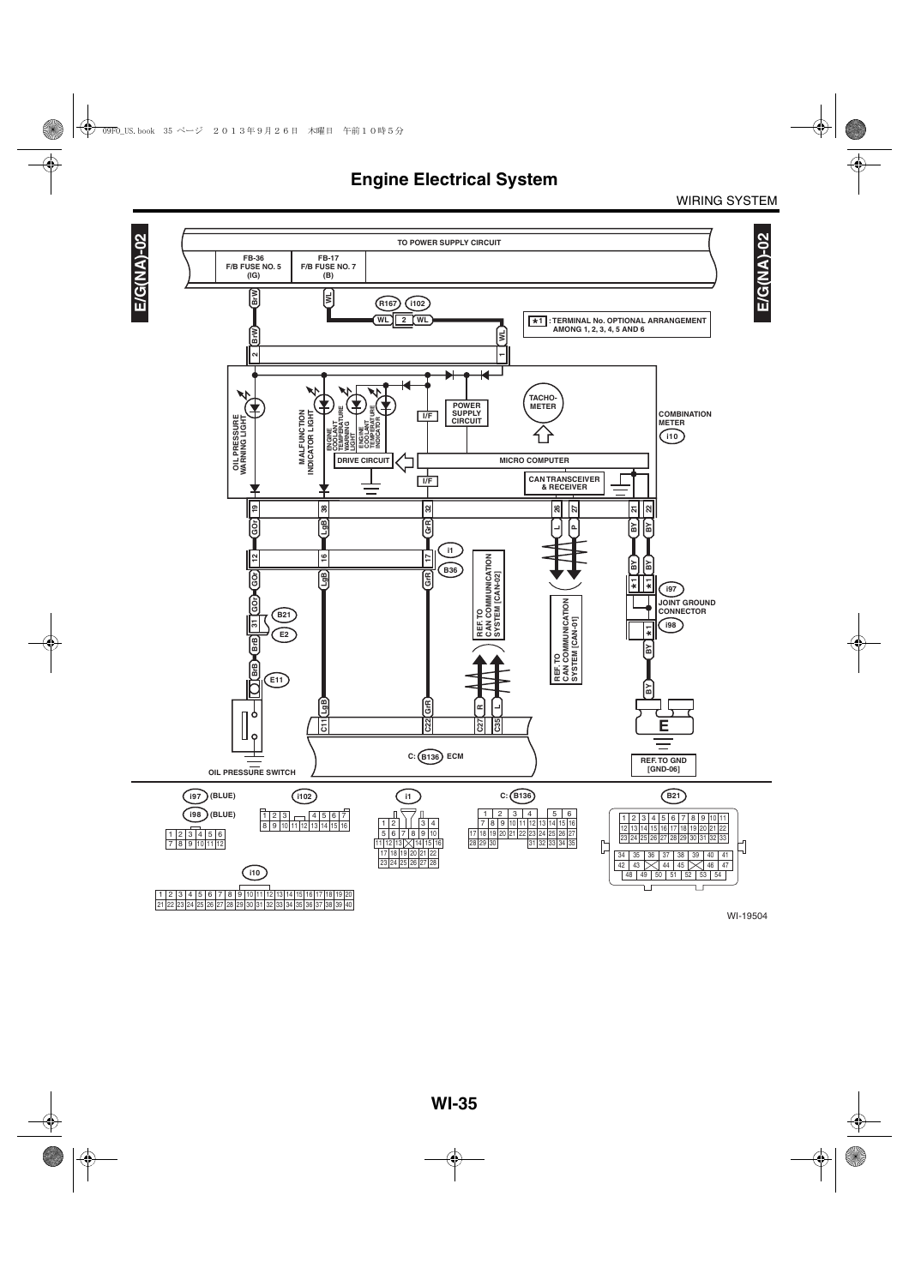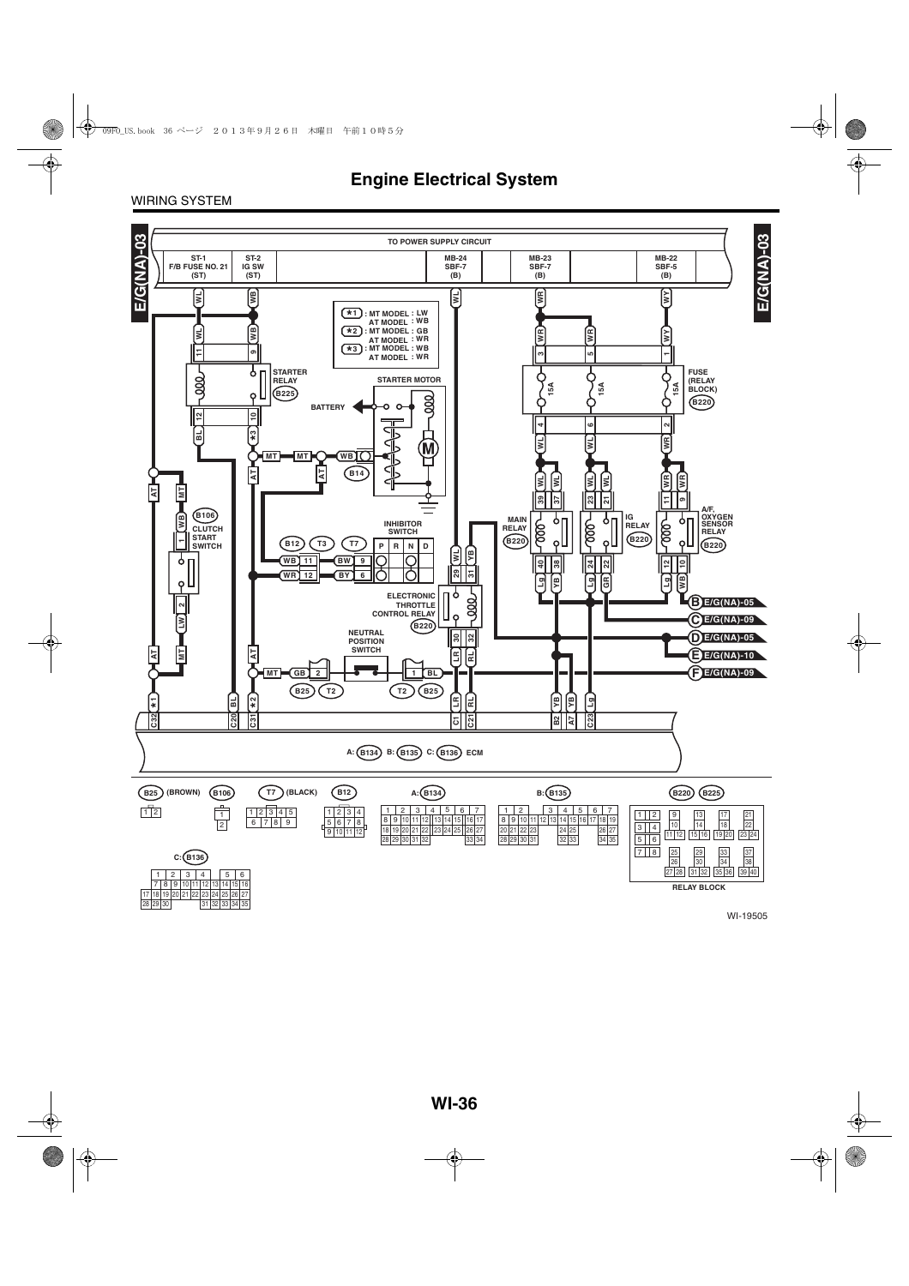WIRING SYSTEM



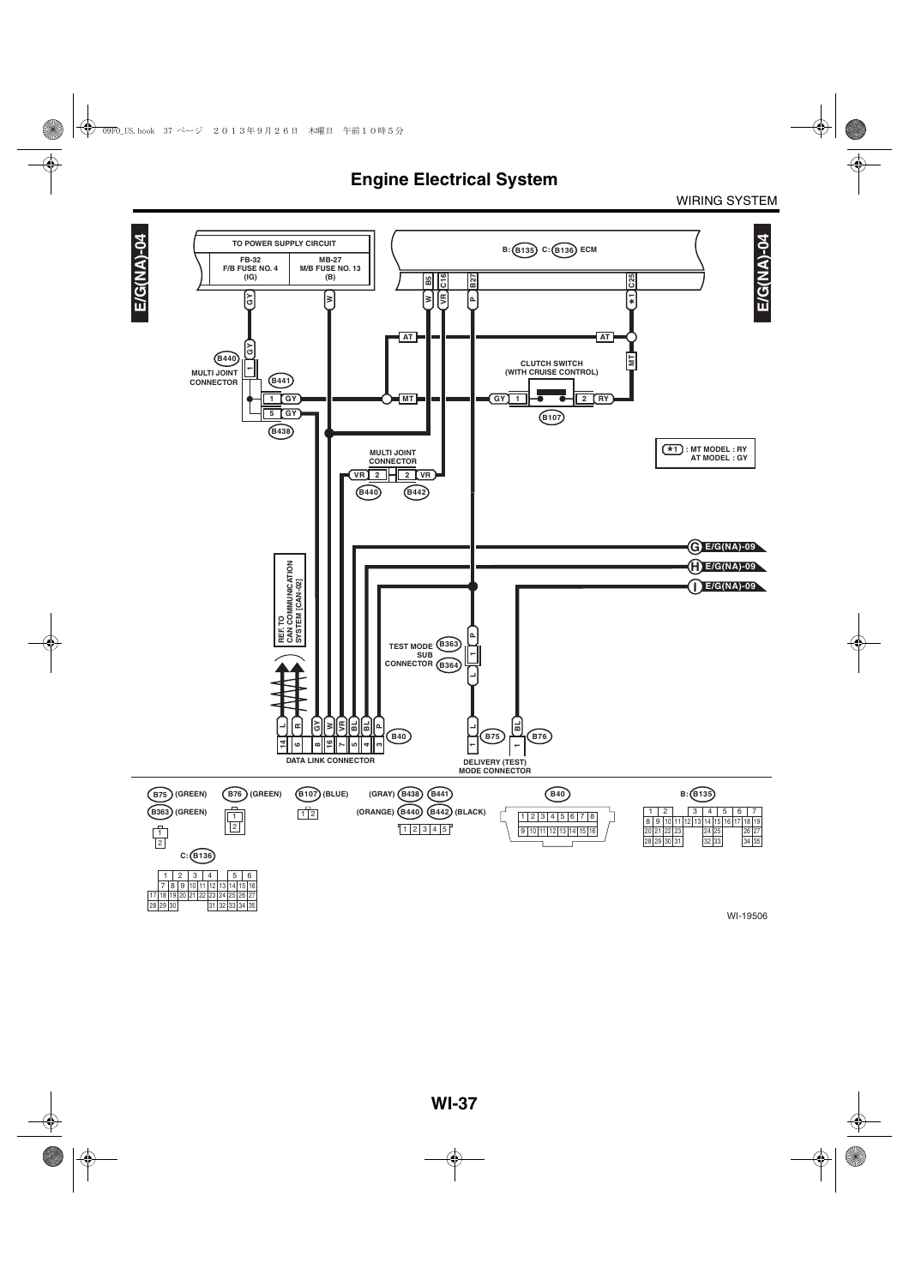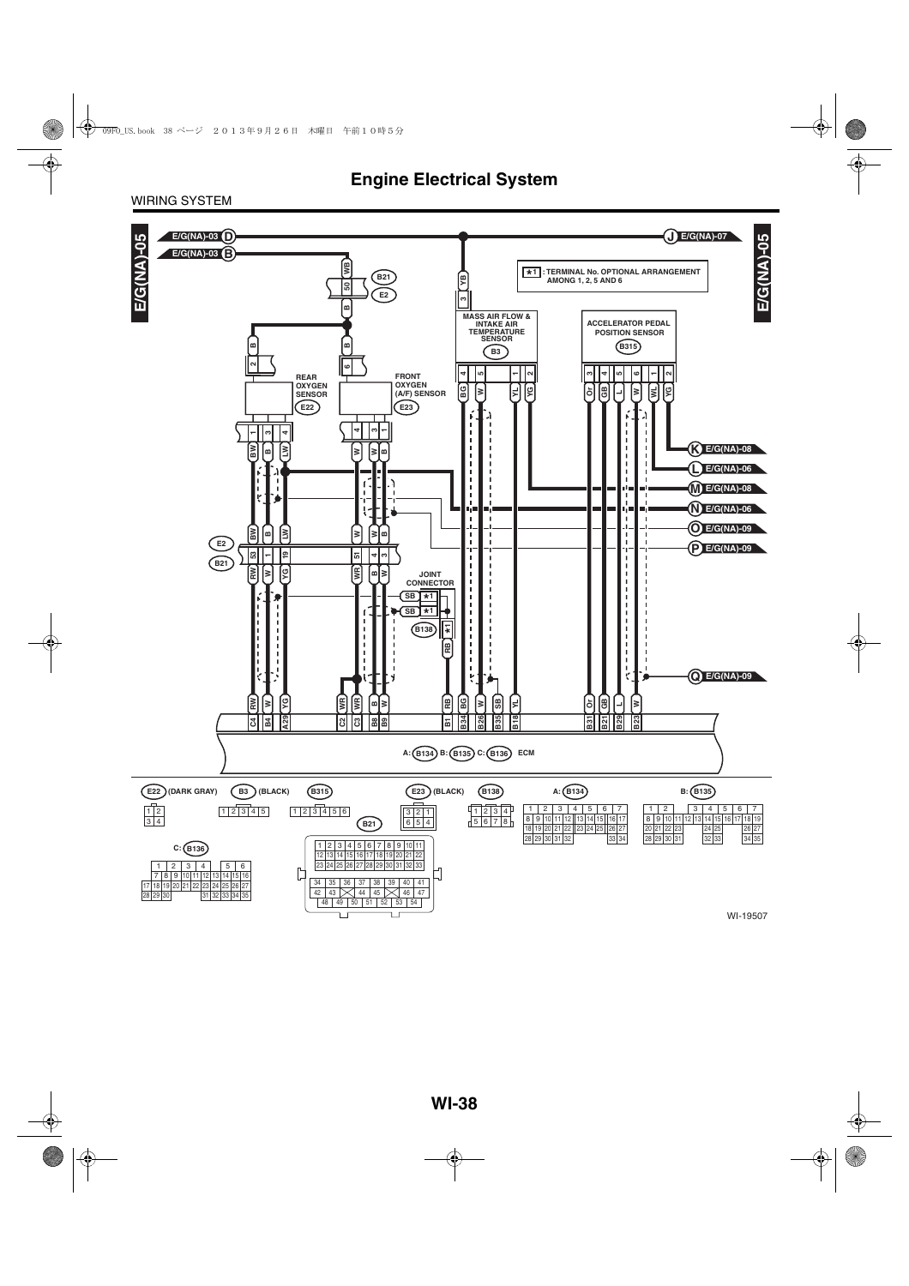WIRING SYSTEM

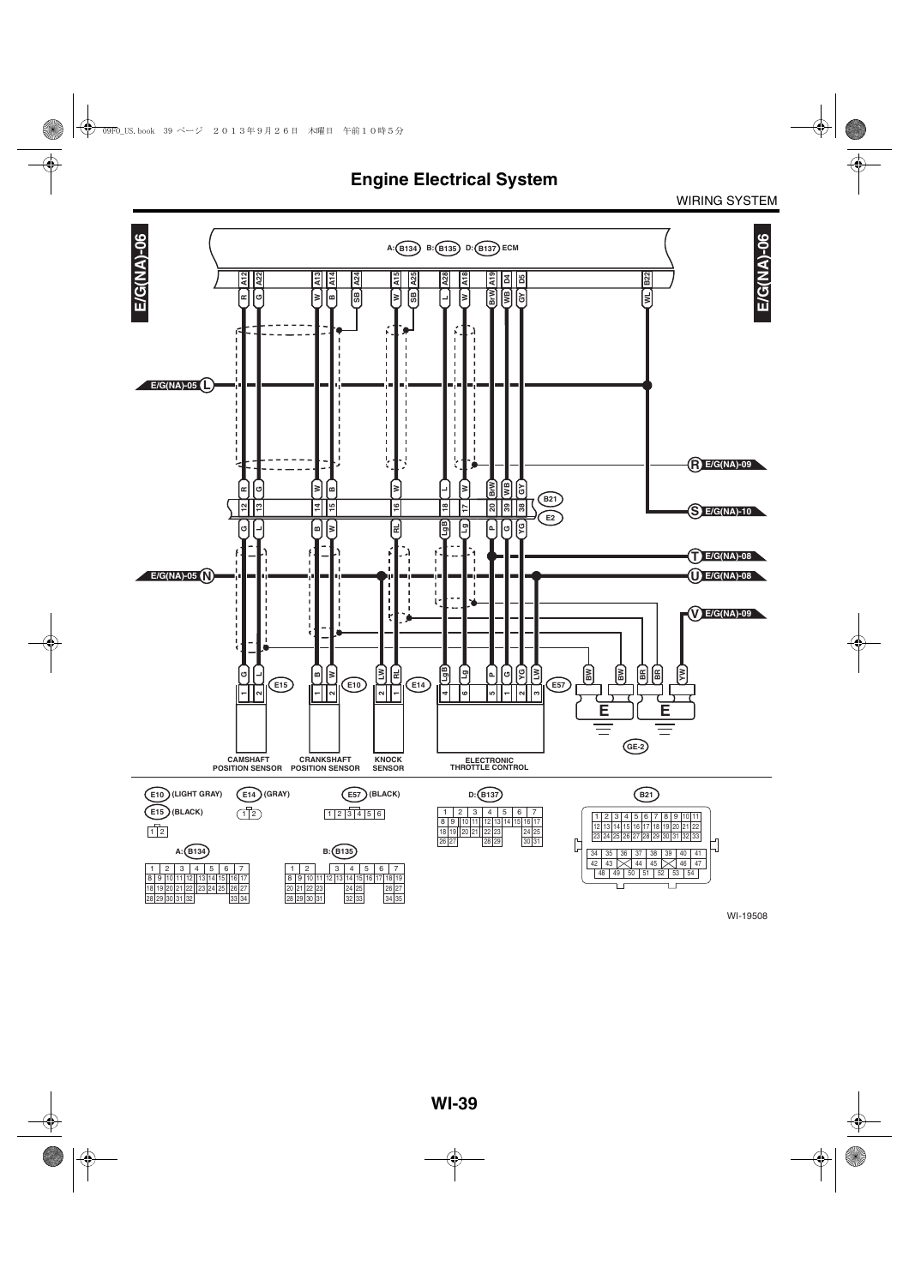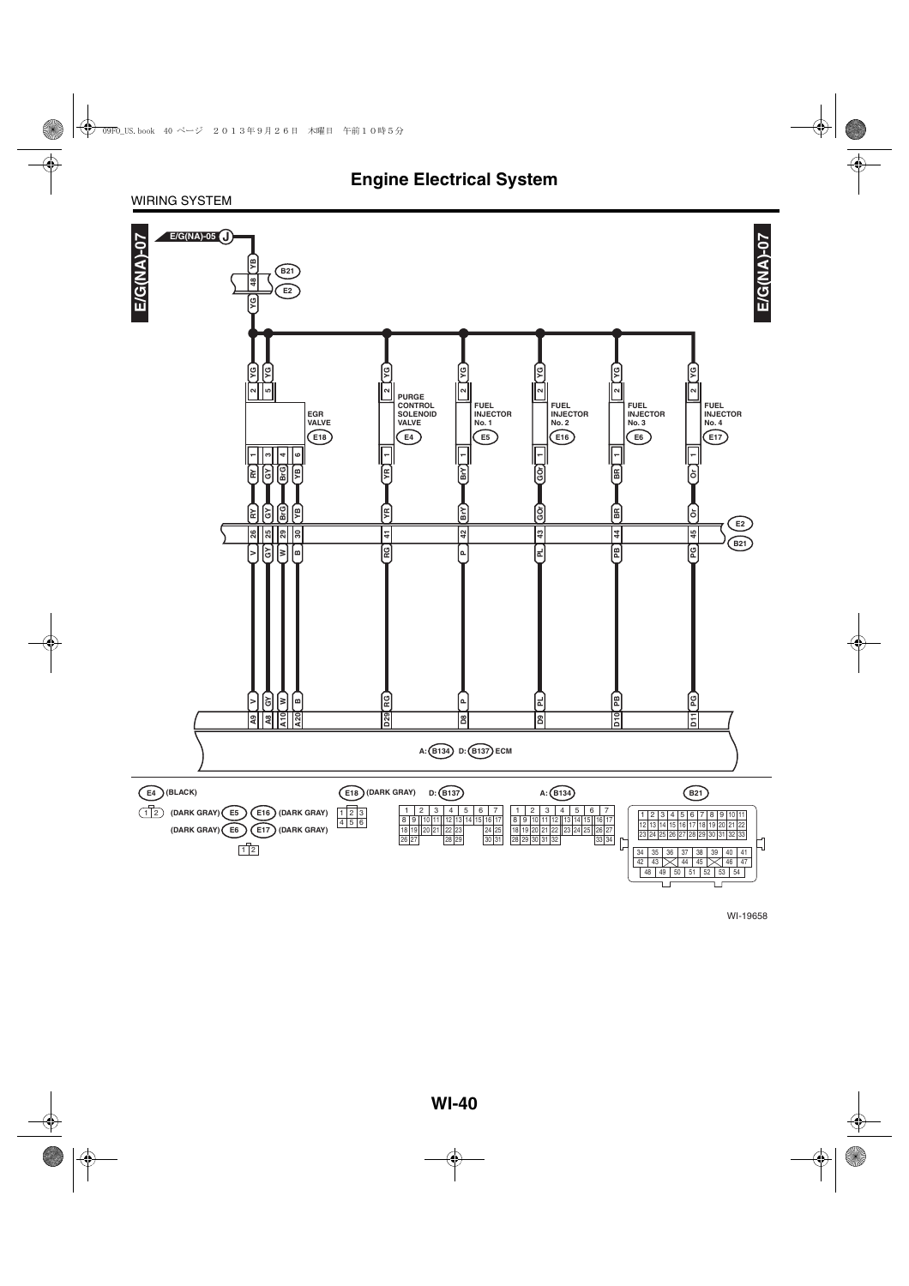#### WIRING SYSTEM

![](_page_8_Figure_2.jpeg)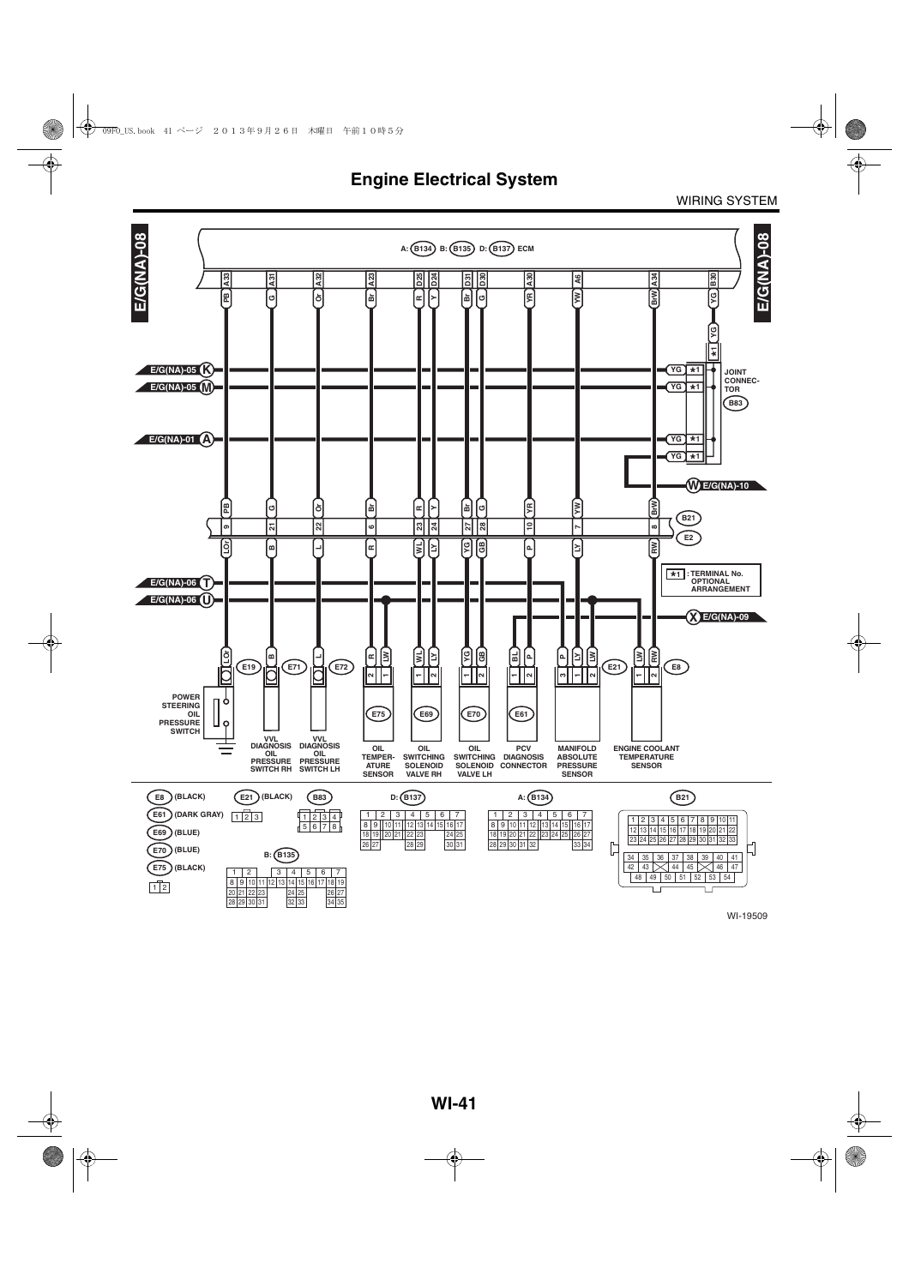![](_page_9_Figure_2.jpeg)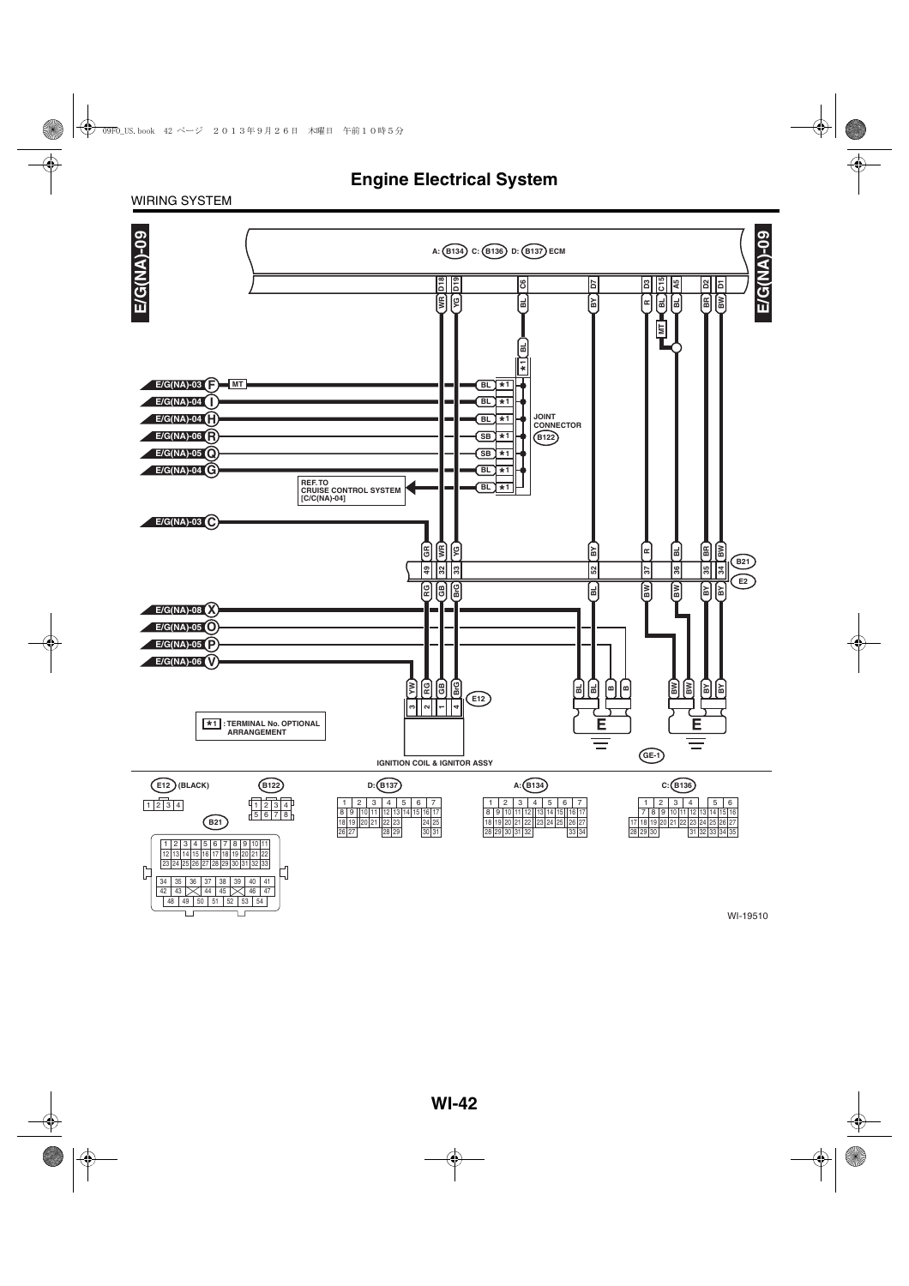#### WIRING SYSTEM

Ţ

 $\Box$ 

![](_page_10_Figure_2.jpeg)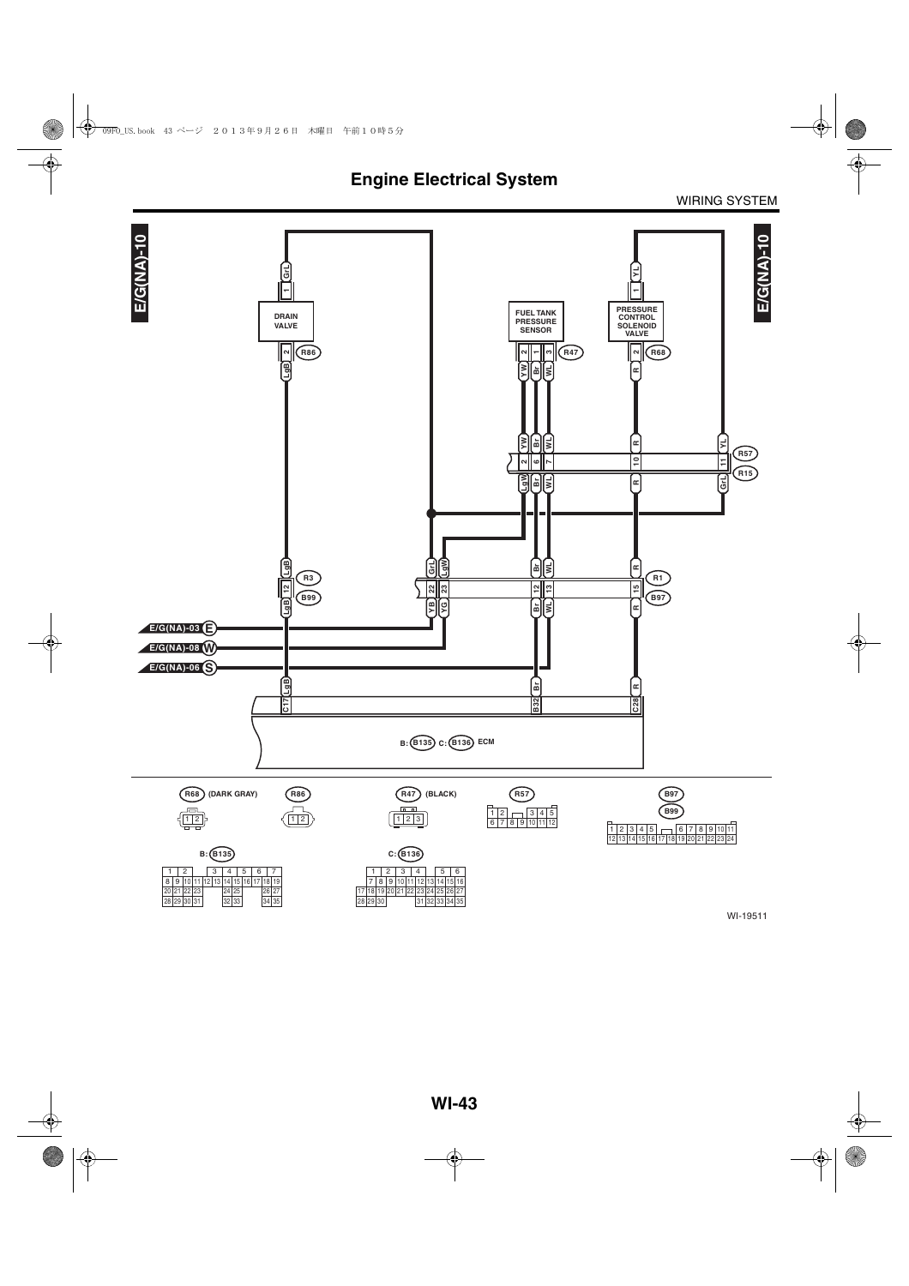![](_page_11_Figure_2.jpeg)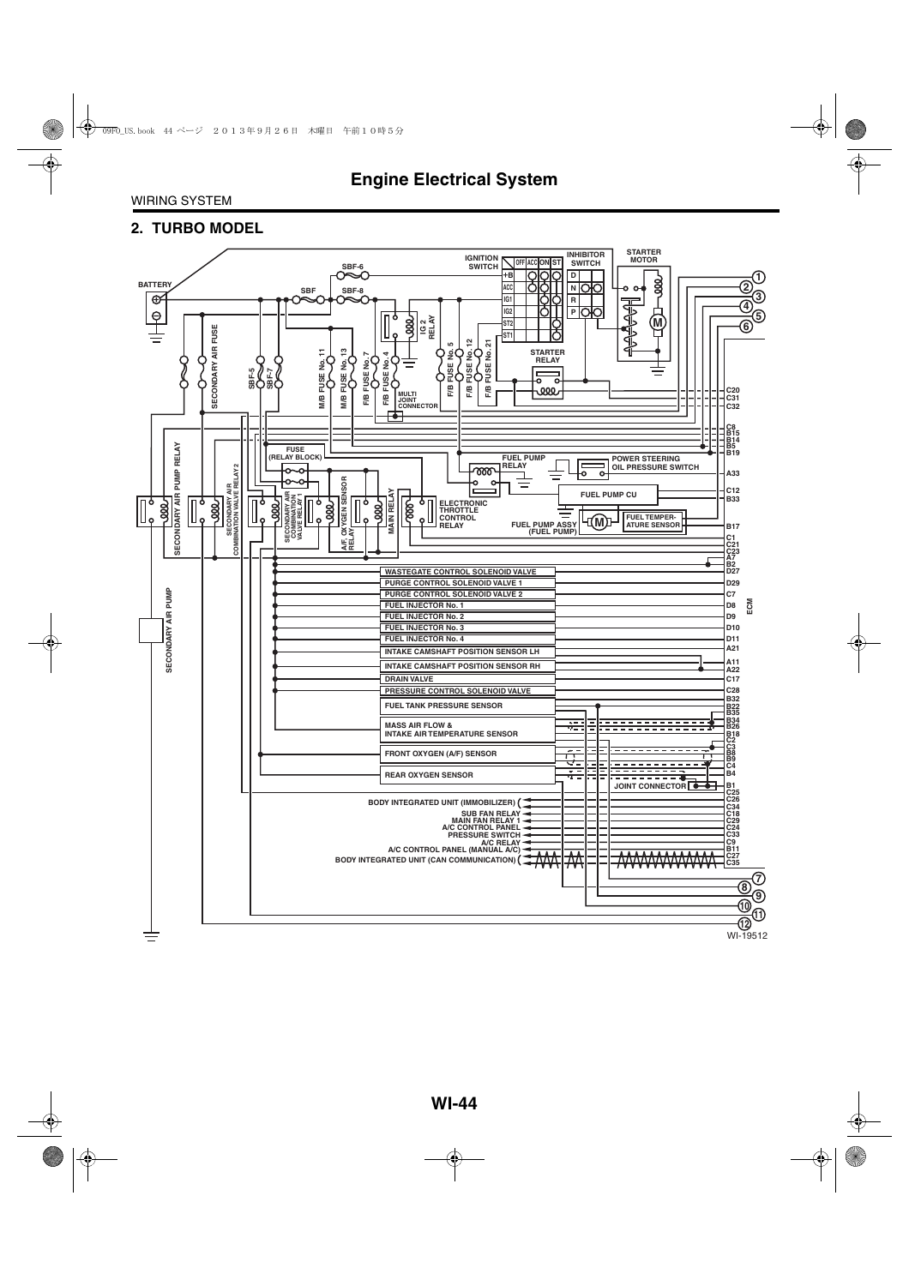#### **2. TURBO MODEL**

![](_page_12_Figure_3.jpeg)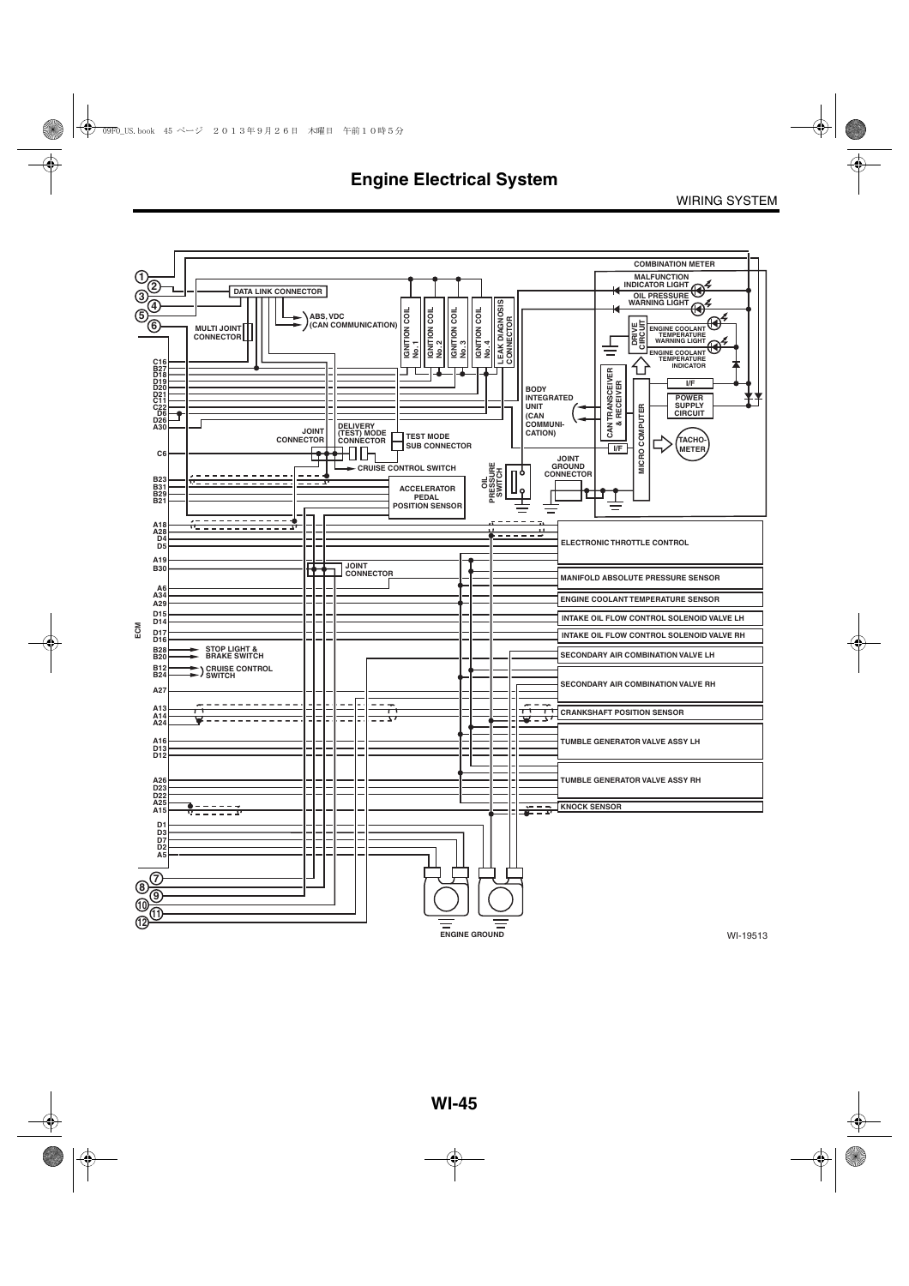![](_page_13_Figure_2.jpeg)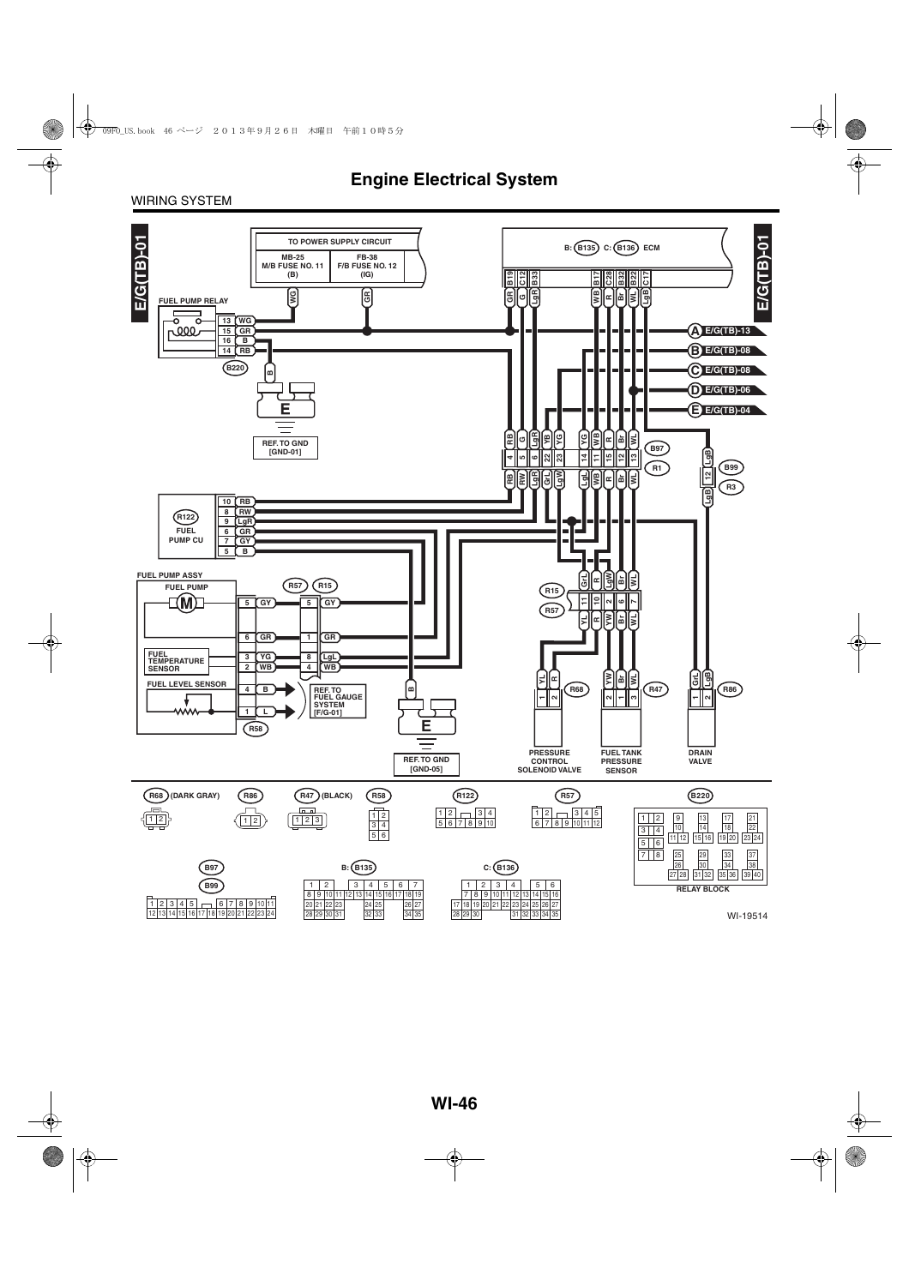#### WIRING SYSTEM

![](_page_14_Figure_2.jpeg)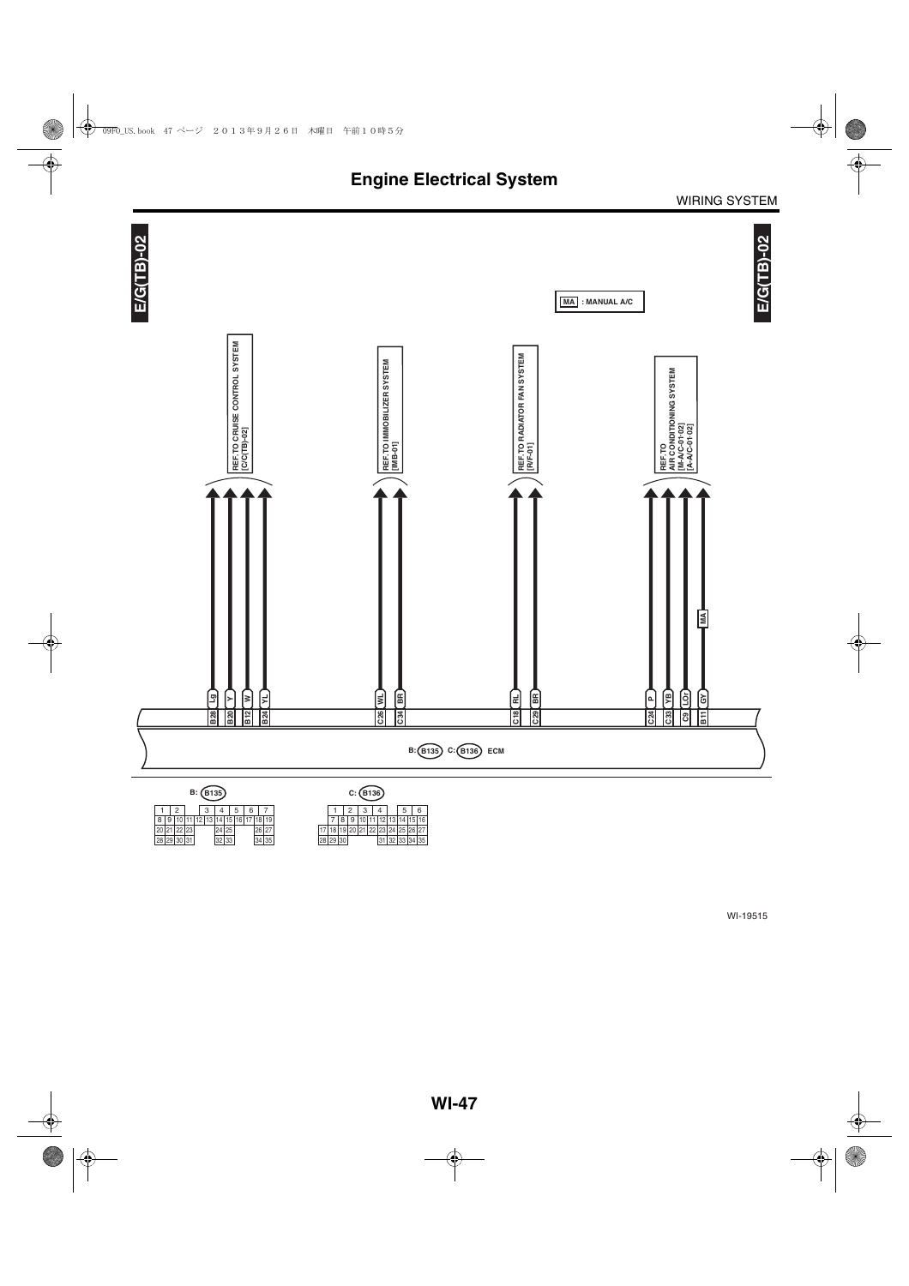![](_page_15_Figure_1.jpeg)

 $1 \mid 2 \mid 3 \mid 4 \mid 5 \mid 6 \mid 7$ 29 10 11 12 13 14 15 24 25 16 30  $\begin{array}{|c|c|c|c|c|c|}\n \hline\n 8 & 9 & 10 & 11 & 12 & 13 & 14 & 15 & 16 & 17 & 18 & 19 \\
\hline\n 20 & 21 & 22 & 23 & 24 & 25 & 26 & 27 \\
\hline\n 28 & 29 & 30 & 31 & 32 & 33 & 34 & 35\n \end{array}$ 

19 | 10 | 11 | 12 | 13 | 14 | 15 | 16<br>19 | 20 | 21 | 22 | 23 | 24 | 25 | 26 | 27<br>30 | 31 | 32 | 33 | 34 | 35 7 8 9 10 11 12 13<br>18 19 20 21 22 23 24<br>29 30 31 32 17 18 19 20<br>28 29 30  $1 \mid 2 \mid 3 \mid 4 \mid 5 \mid 6$ 25 26 27<br>33 34 35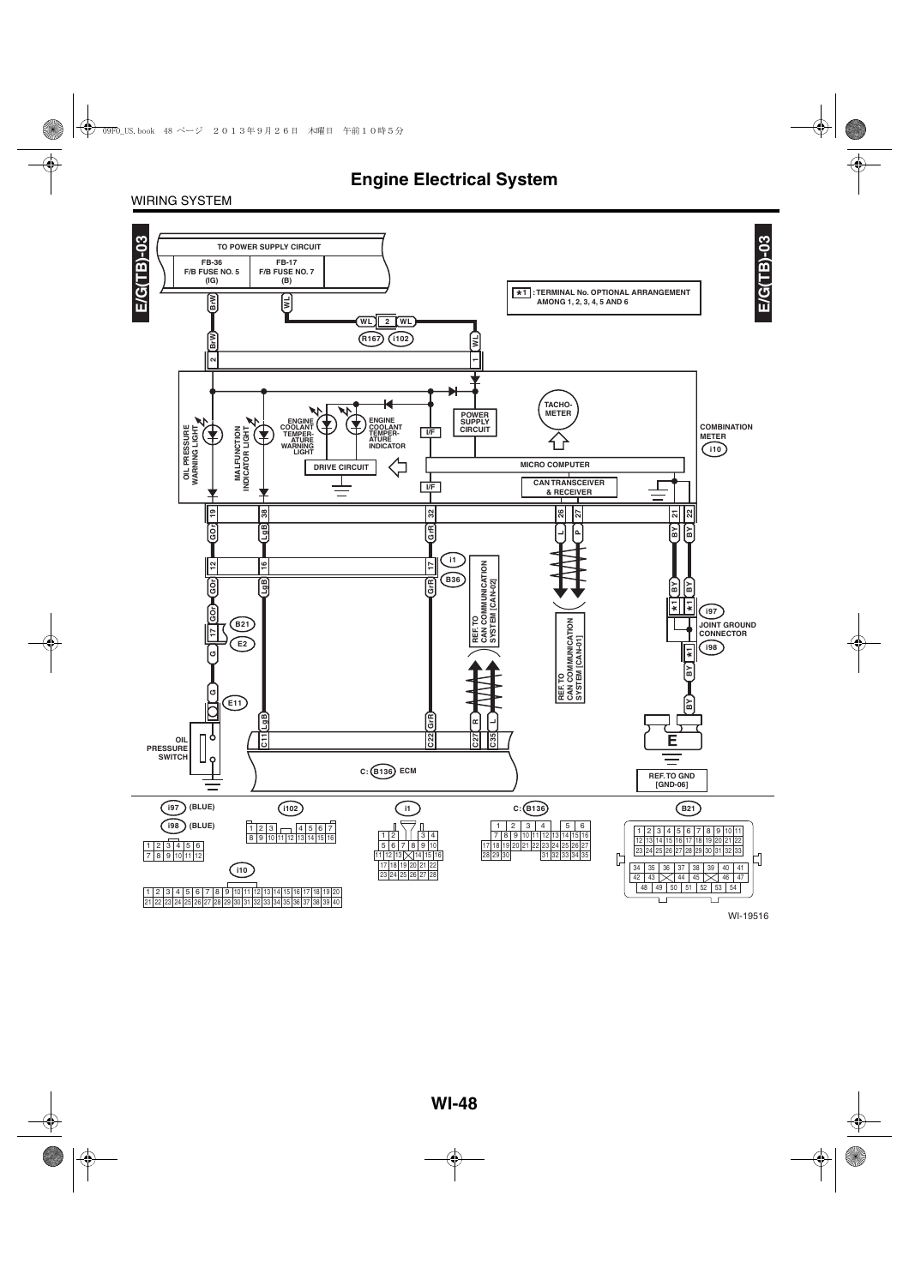#### WIRING SYSTEM

![](_page_16_Figure_2.jpeg)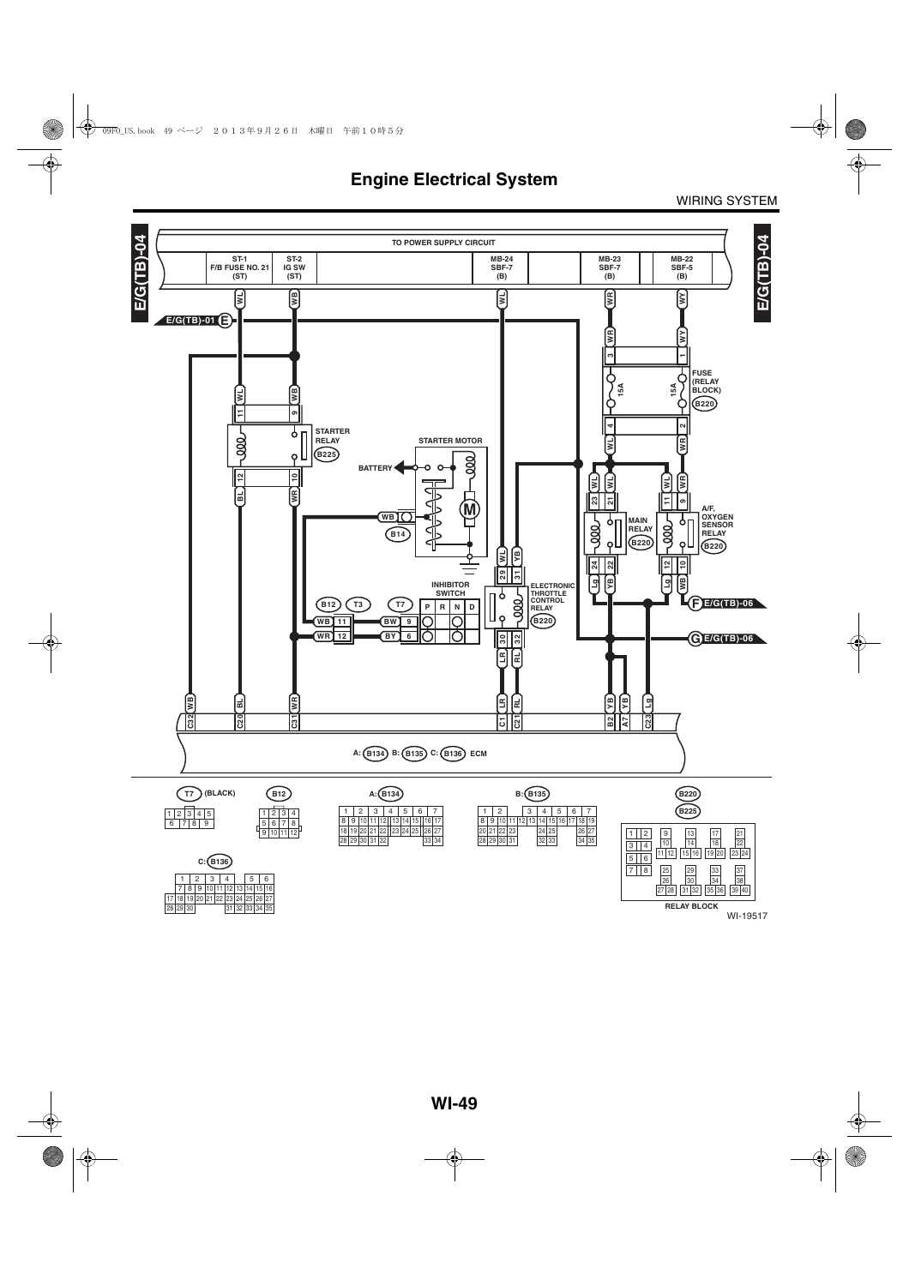![](_page_17_Figure_1.jpeg)

WI-19517

WIRING SYSTEM

30 28 29 31 32

33 34 35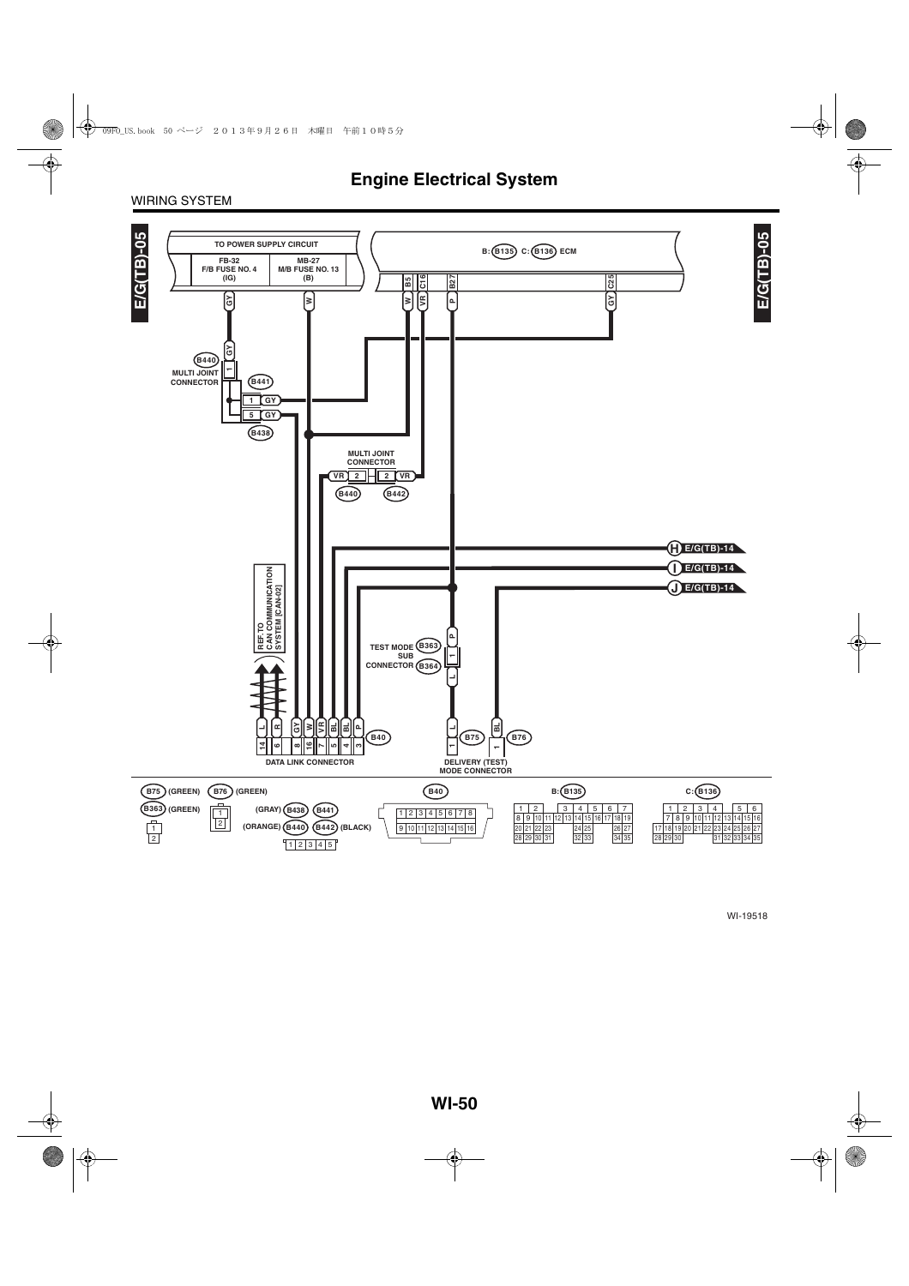#### WIRING SYSTEM

![](_page_18_Figure_2.jpeg)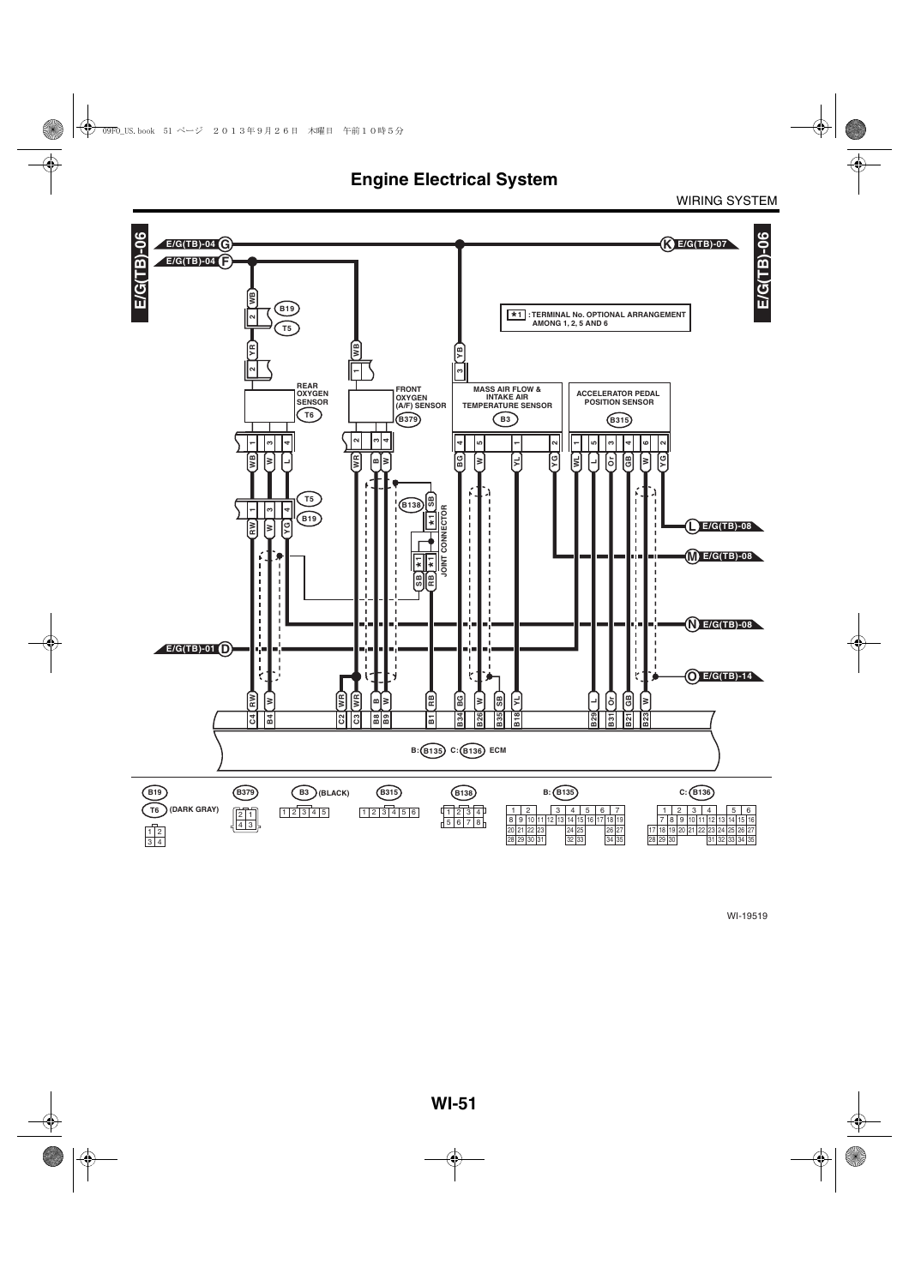**Engine Electrical System**

WIRING SYSTEM

![](_page_19_Figure_2.jpeg)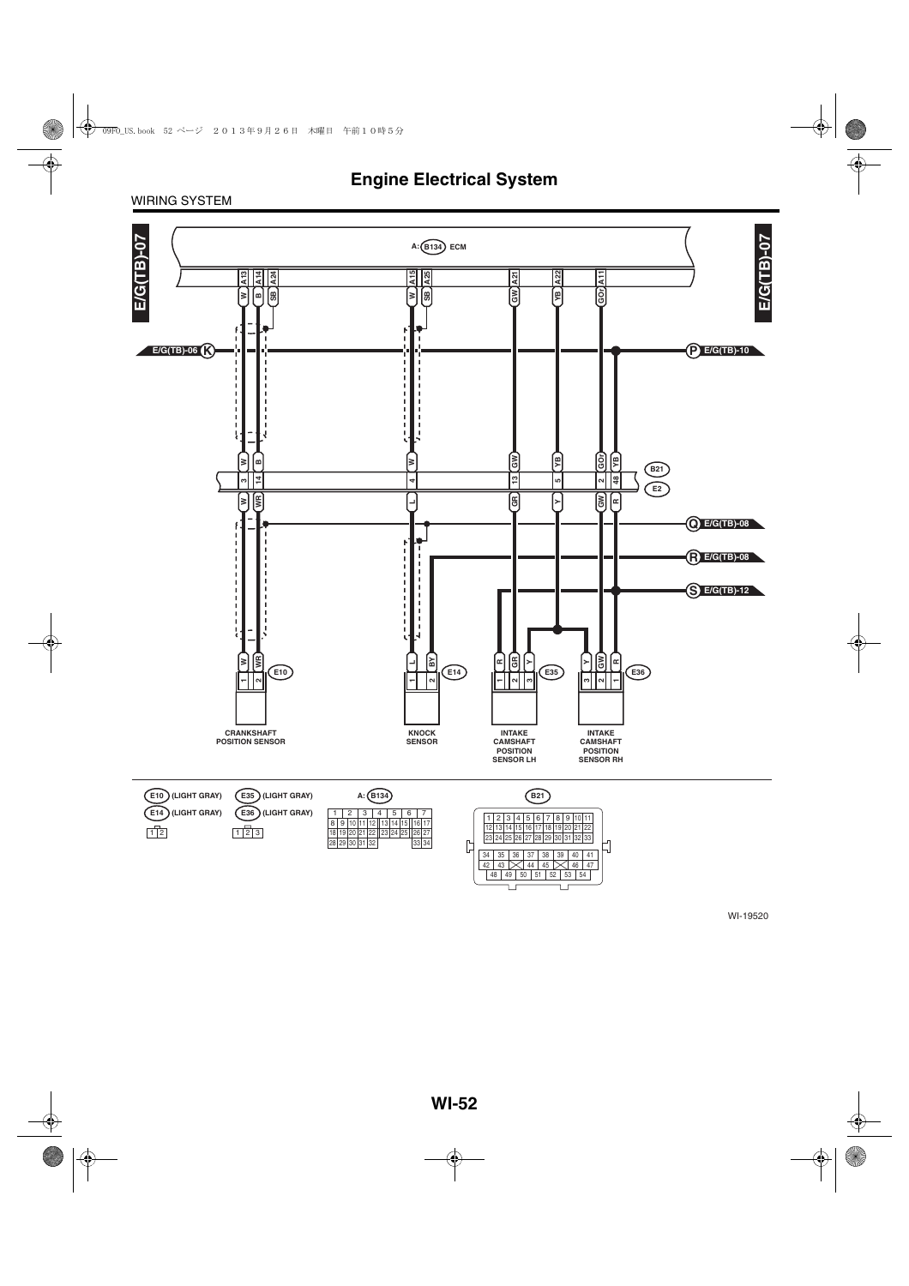#### WIRING SYSTEM

![](_page_20_Figure_2.jpeg)

WI-19520

48 49 50 51 52 53 54

 $\Box$ 

 $\Box$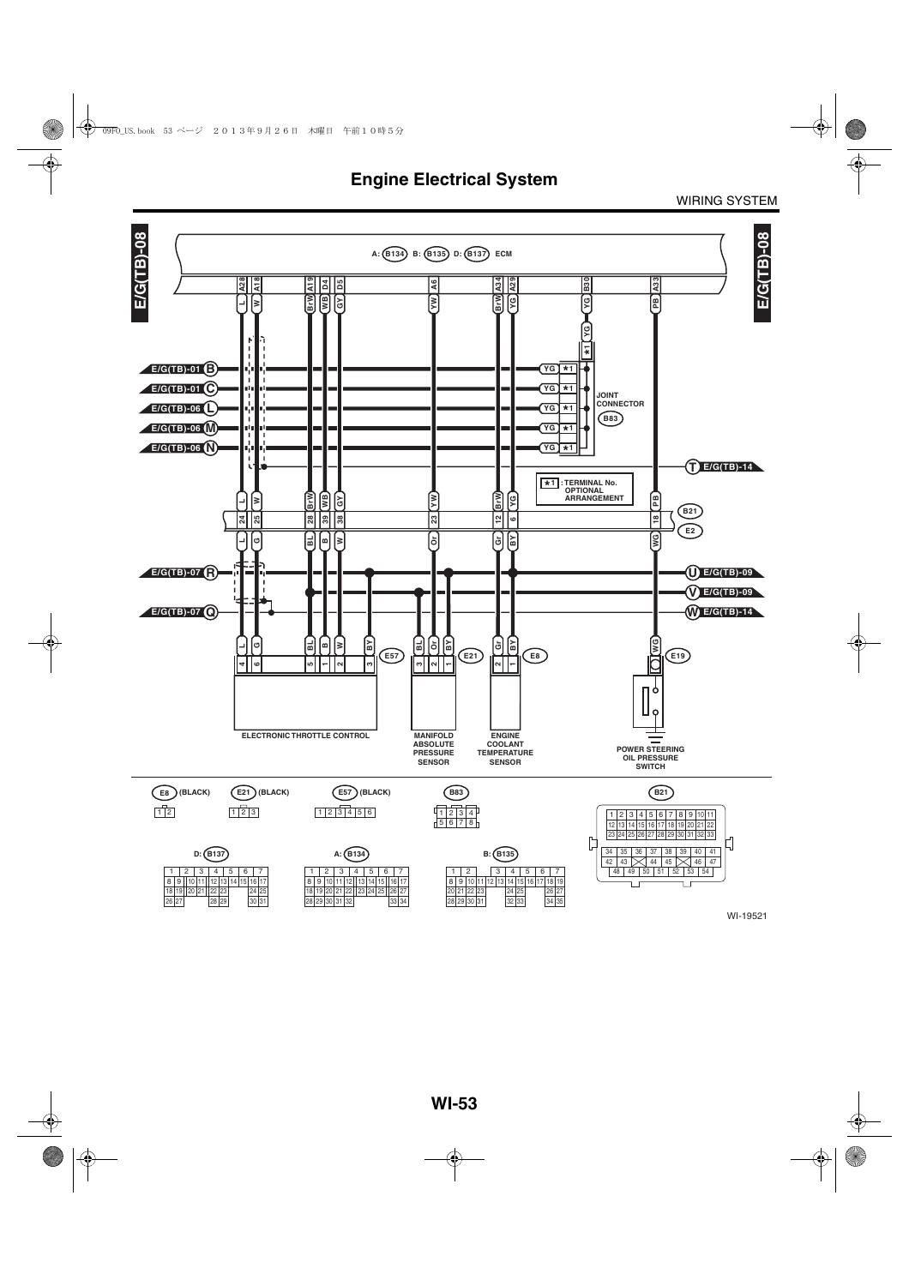![](_page_21_Figure_2.jpeg)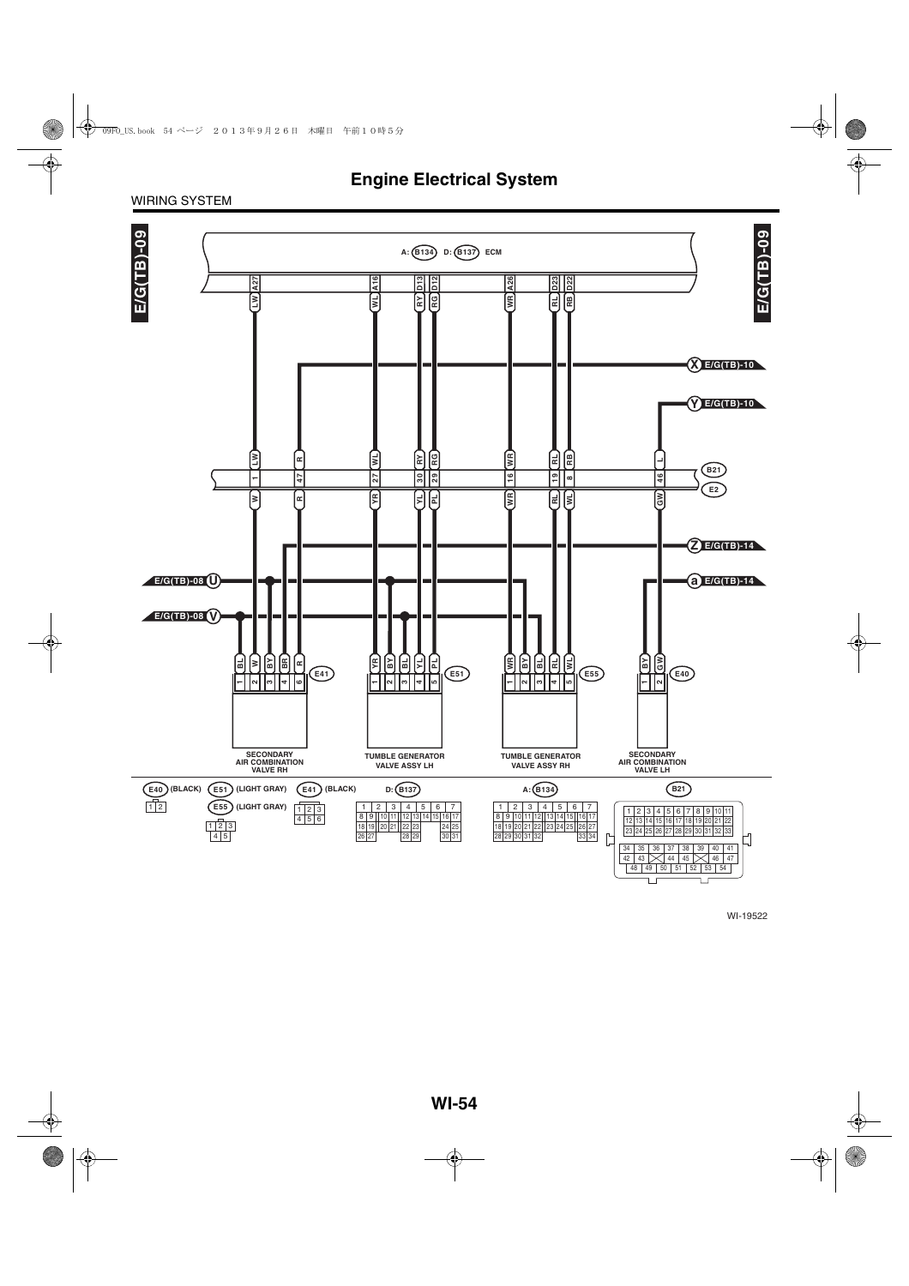#### WIRING SYSTEM

![](_page_22_Figure_2.jpeg)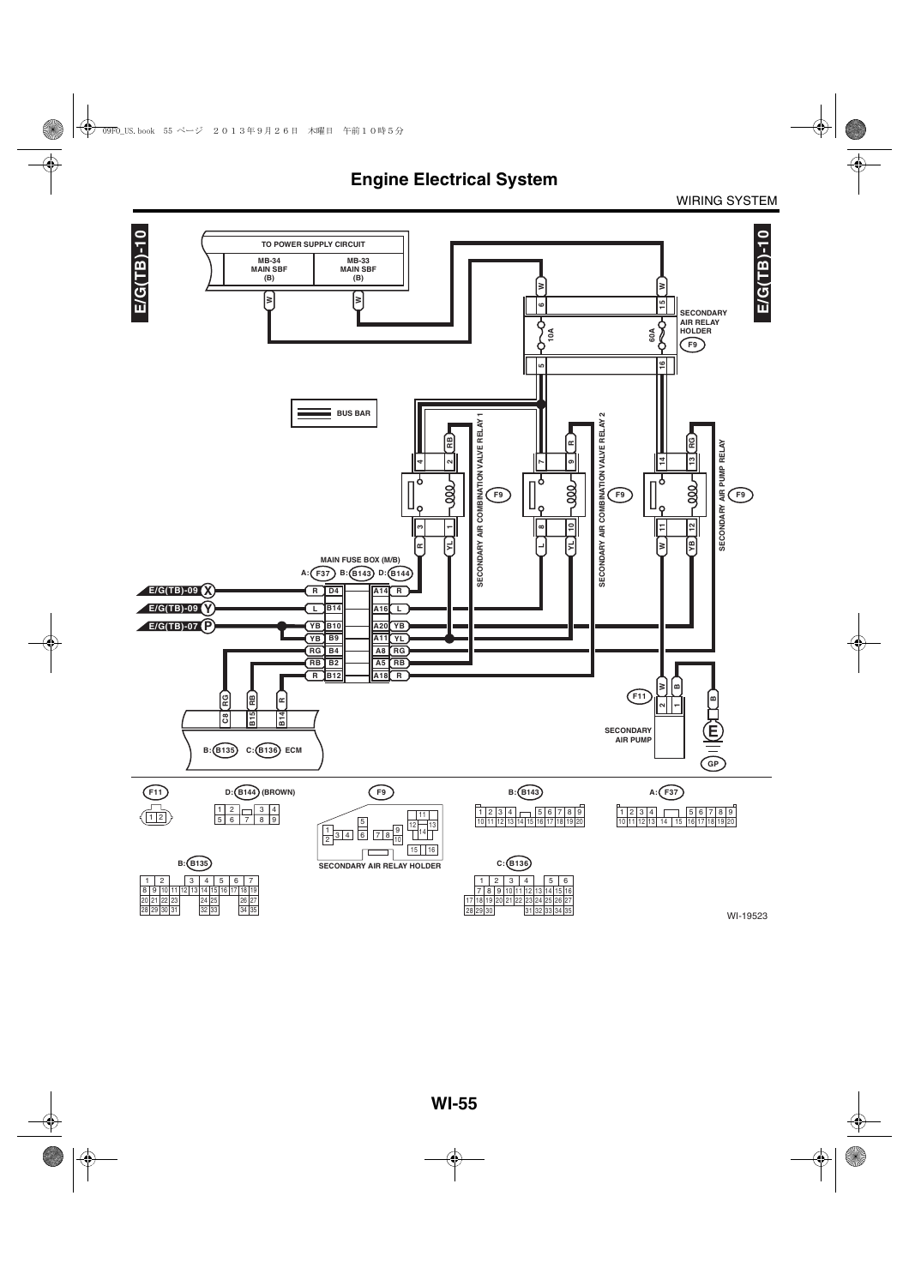![](_page_23_Figure_2.jpeg)

WI-19523

30 29 28

29 30 28

31 32 33 34 35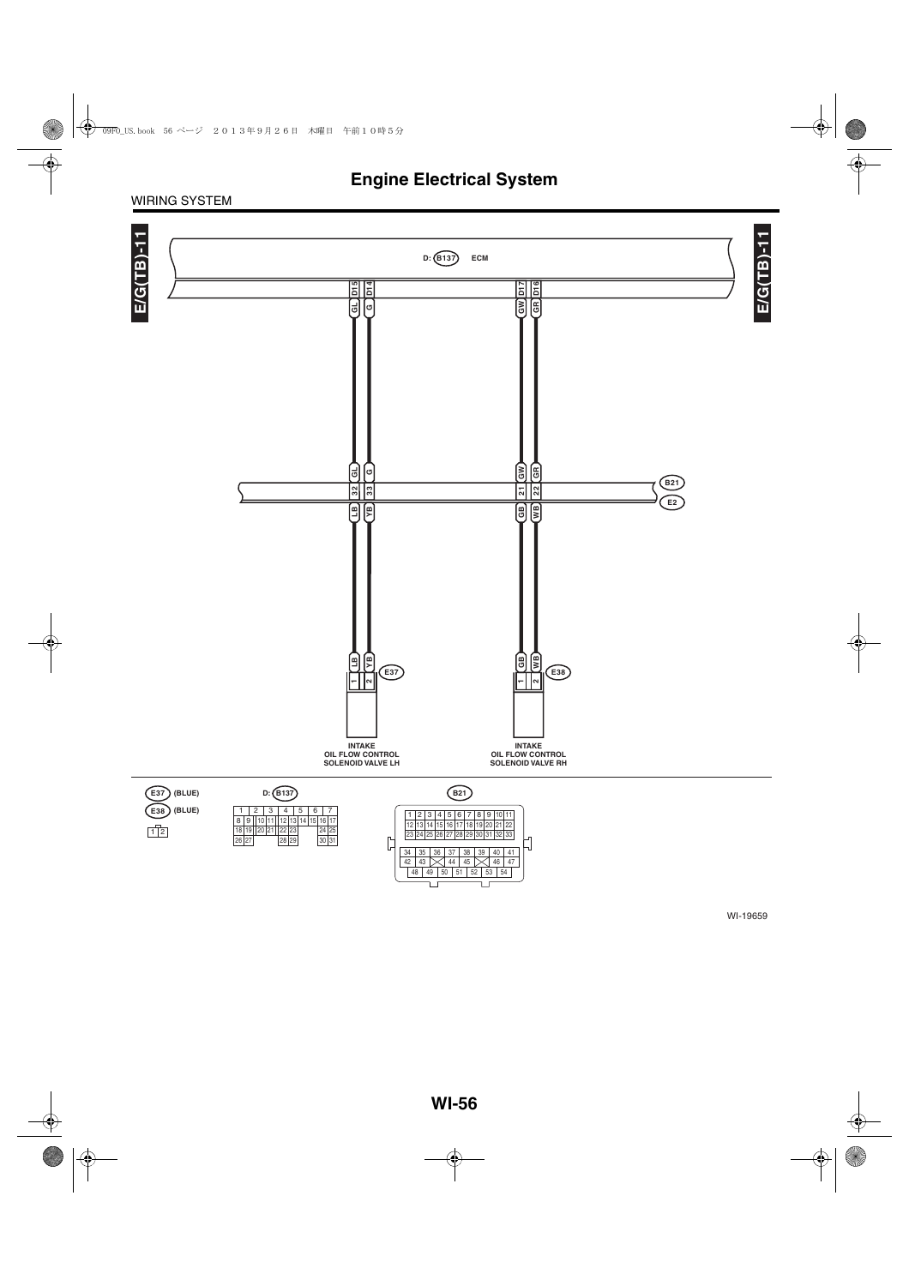#### WIRING SYSTEM

![](_page_24_Figure_2.jpeg)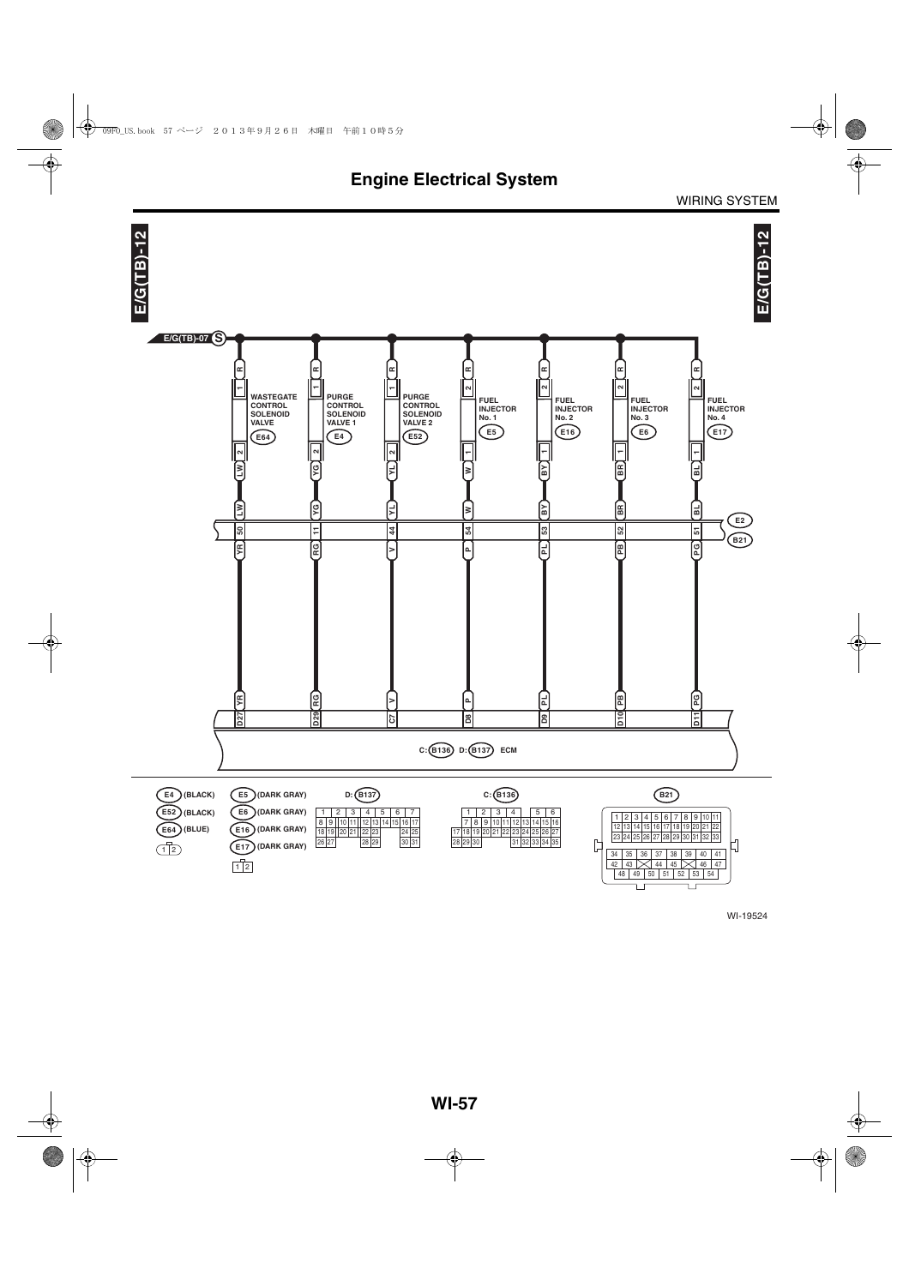![](_page_25_Figure_0.jpeg)

WIRING SYSTEM

WI-19524

 $\Box$ 

īг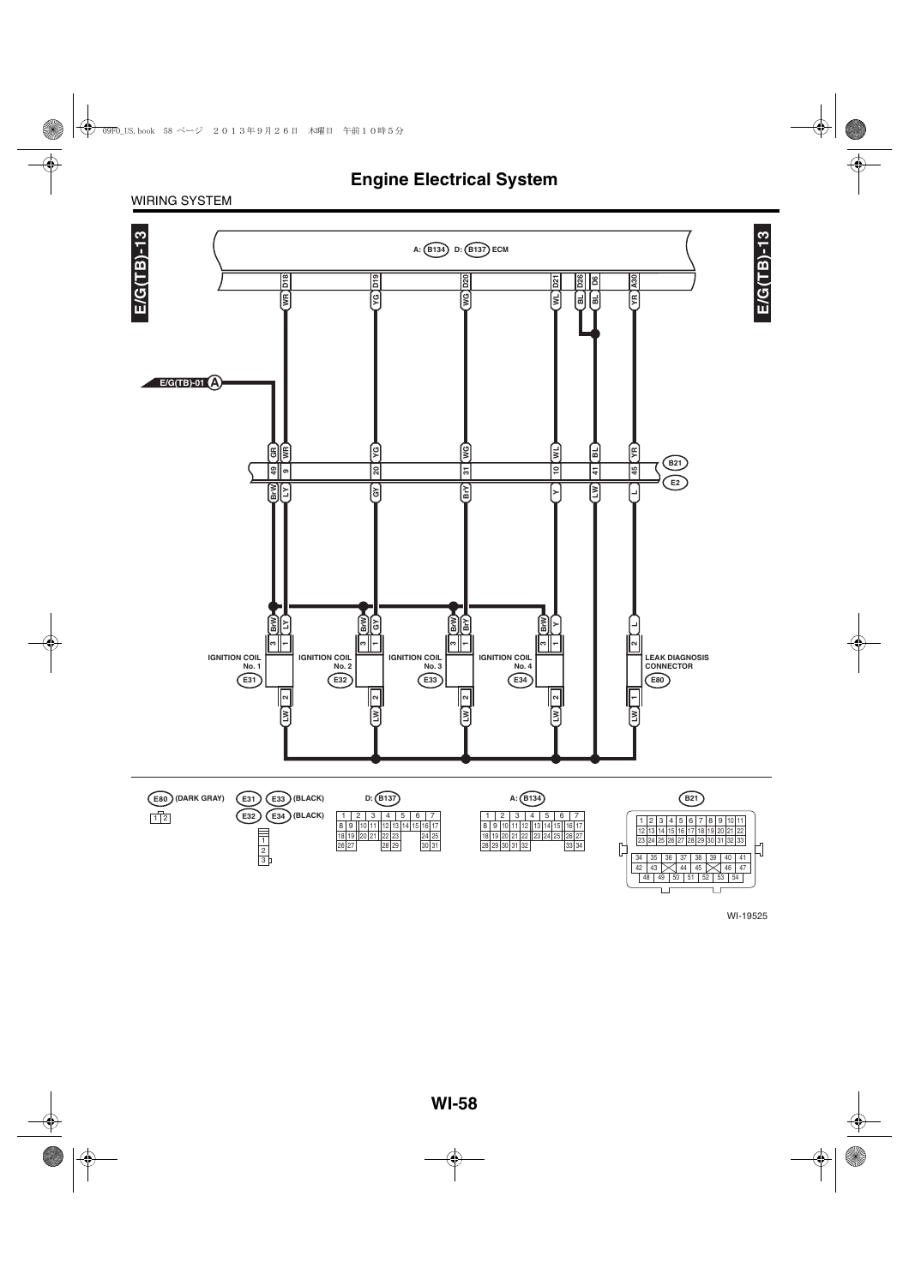![](_page_26_Figure_1.jpeg)